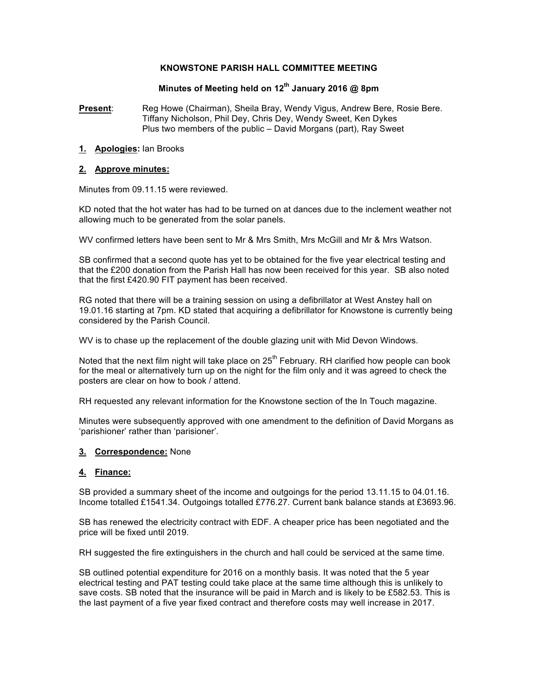### **KNOWSTONE PARISH HALL COMMITTEE MEETING**

# **Minutes of Meeting held on 12th January 2016 @ 8pm**

**Present**: Reg Howe (Chairman), Sheila Bray, Wendy Vigus, Andrew Bere, Rosie Bere. Tiffany Nicholson, Phil Dey, Chris Dey, Wendy Sweet, Ken Dykes Plus two members of the public – David Morgans (part), Ray Sweet

### **1. Apologies:** Ian Brooks

### **2. Approve minutes:**

Minutes from 09.11.15 were reviewed.

KD noted that the hot water has had to be turned on at dances due to the inclement weather not allowing much to be generated from the solar panels.

WV confirmed letters have been sent to Mr & Mrs Smith, Mrs McGill and Mr & Mrs Watson.

SB confirmed that a second quote has yet to be obtained for the five year electrical testing and that the £200 donation from the Parish Hall has now been received for this year. SB also noted that the first £420.90 FIT payment has been received.

RG noted that there will be a training session on using a defibrillator at West Anstey hall on 19.01.16 starting at 7pm. KD stated that acquiring a defibrillator for Knowstone is currently being considered by the Parish Council.

WV is to chase up the replacement of the double glazing unit with Mid Devon Windows.

Noted that the next film night will take place on  $25<sup>th</sup>$  February. RH clarified how people can book for the meal or alternatively turn up on the night for the film only and it was agreed to check the posters are clear on how to book / attend.

RH requested any relevant information for the Knowstone section of the In Touch magazine.

Minutes were subsequently approved with one amendment to the definition of David Morgans as 'parishioner' rather than 'parisioner'.

### **3. Correspondence:** None

## **4. Finance:**

SB provided a summary sheet of the income and outgoings for the period 13.11.15 to 04.01.16. Income totalled £1541.34. Outgoings totalled £776.27. Current bank balance stands at £3693.96.

SB has renewed the electricity contract with EDF. A cheaper price has been negotiated and the price will be fixed until 2019.

RH suggested the fire extinguishers in the church and hall could be serviced at the same time.

SB outlined potential expenditure for 2016 on a monthly basis. It was noted that the 5 year electrical testing and PAT testing could take place at the same time although this is unlikely to save costs. SB noted that the insurance will be paid in March and is likely to be £582.53. This is the last payment of a five year fixed contract and therefore costs may well increase in 2017.